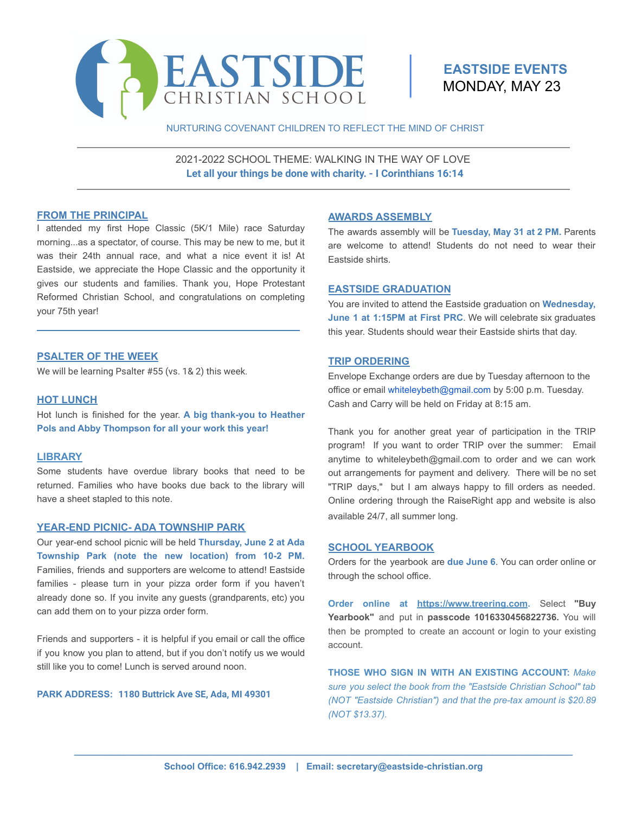

# **EASTSIDE EVENTS** MONDAY, MAY 23

### NURTURING COVENANT CHILDREN TO REFLECT THE MIND OF CHRIST

2021-2022 SCHOOL THEME: WALKING IN THE WAY OF LOVE **Let all your things be done with charity. - I Corinthians 16:14**

### **FROM THE PRINCIPAL**

I attended my first Hope Classic (5K/1 Mile) race Saturday morning...as a spectator, of course. This may be new to me, but it was their 24th annual race, and what a nice event it is! At Eastside, we appreciate the Hope Classic and the opportunity it gives our students and families. Thank you, Hope Protestant Reformed Christian School, and congratulations on completing your 75th year!

\_\_\_\_\_\_\_\_\_\_\_\_\_\_\_\_\_\_\_\_\_\_\_\_\_\_\_\_\_\_\_\_\_\_\_\_\_\_\_\_\_\_\_\_\_\_

# **PSALTER OF THE WEEK**

We will be learning Psalter #55 (vs. 1& 2) this week.

### **HOT LUNCH**

Hot lunch is finished for the year. **A big thank-you to Heather Pols and Abby Thompson for all your work this year!**

### **LIBRARY**

Some students have overdue library books that need to be returned. Families who have books due back to the library will have a sheet stapled to this note.

## **YEAR-END PICNIC- ADA TOWNSHIP PARK**

Our year-end school picnic will be held **Thursday, June 2 at Ada Township Park (note the new location) from 10-2 PM.** Families, friends and supporters are welcome to attend! Eastside families - please turn in your pizza order form if you haven't already done so. If you invite any guests (grandparents, etc) you can add them on to your pizza order form.

Friends and supporters - it is helpful if you email or call the office if you know you plan to attend, but if you don't notify us we would still like you to come! Lunch is served around noon.

### **PARK ADDRESS: 1180 Buttrick Ave SE, Ada, MI 49301**

### **AWARDS ASSEMBLY**

The awards assembly will be **Tuesday, May 31 at 2 PM.** Parents are welcome to attend! Students do not need to wear their Eastside shirts.

# **EASTSIDE GRADUATION**

You are invited to attend the Eastside graduation on **Wednesday, June 1 at 1:15PM at First PRC**. We will celebrate six graduates this year. Students should wear their Eastside shirts that day.

### **TRIP ORDERING**

Envelope Exchange orders are due by Tuesday afternoon to the office or email whiteleybeth@gmail.com by 5:00 p.m. Tuesday. Cash and Carry will be held on Friday at 8:15 am.

Thank you for another great year of participation in the TRIP program! If you want to order TRIP over the summer: Email anytime to whiteleybeth@gmail.com to order and we can work out arrangements for payment and delivery. There will be no set "TRIP days," but I am always happy to fill orders as needed. Online ordering through the RaiseRight app and website is also available 24/7, all summer long.

### **SCHOOL YEARBOOK**

Orders for the yearbook are **due June 6**. You can order online or through the school office.

**Order online at [https://www.treering.com.](https://www.treering.com)** Select **"Buy Yearbook"** and put in **passcode 1016330456822736.** You will then be prompted to create an account or login to your existing account.

**THOSE WHO SIGN IN WITH AN EXISTING ACCOUNT:** *Make sure you select the book from the "Eastside Christian School" tab (NOT "Eastside Christian") and that the pre-tax amount is \$20.89 (NOT \$13.37).*